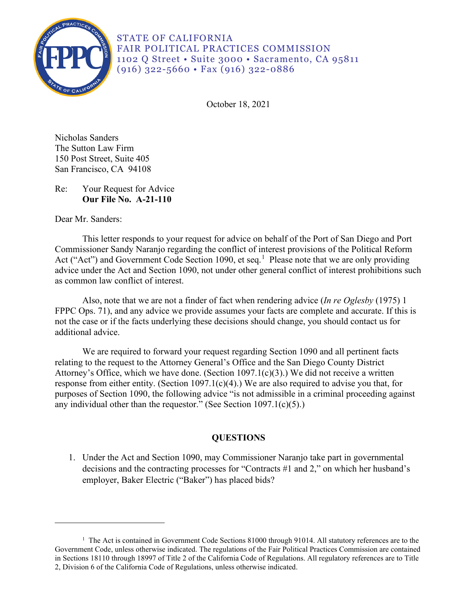

STATE OF CALIFORNIA FAIR POLITICAL PRACTICES COMMISSION 1102 Q Street • Suite 3000 • Sacramento, CA 95811 (916) 322-5660 • Fax (916) 322-0886

October 18, 2021

Nicholas Sanders The Sutton Law Firm 150 Post Street, Suite 405 San Francisco, CA 94108

Re: Your Request for Advice **Our File No. A-21-110** 

Dear Mr. Sanders:

Act ("Act") and Government Code Section [1](#page-0-0)090, et seq.<sup>1</sup> Please note that we are only providing advice under the Act and Section 1090, not under other general conflict of interest prohibitions such This letter responds to your request for advice on behalf of the Port of San Diego and Port Commissioner Sandy Naranjo regarding the conflict of interest provisions of the Political Reform as common law conflict of interest.

Also, note that we are not a finder of fact when rendering advice (*In re Oglesby* (1975) 1 FPPC Ops. 71), and any advice we provide assumes your facts are complete and accurate. If this is not the case or if the facts underlying these decisions should change, you should contact us for additional advice.

We are required to forward your request regarding Section 1090 and all pertinent facts relating to the request to the Attorney General's Office and the San Diego County District Attorney's Office, which we have done. (Section 1097.1(c)(3).) We did not receive a written response from either entity. (Section 1097.1(c)(4).) We are also required to advise you that, for purposes of Section 1090, the following advice "is not admissible in a criminal proceeding against any individual other than the requestor." (See Section  $1097.1(c)(5)$ .)

# **QUESTIONS**

1. Under the Act and Section 1090, may Commissioner Naranjo take part in governmental decisions and the contracting processes for "Contracts #1 and 2," on which her husband's employer, Baker Electric ("Baker") has placed bids?

<span id="page-0-0"></span><sup>&</sup>lt;sup>1</sup> The Act is contained in Government Code Sections 81000 through 91014. All statutory references are to the Government Code, unless otherwise indicated. The regulations of the Fair Political Practices Commission are contained in Sections 18110 through 18997 of Title 2 of the California Code of Regulations. All regulatory references are to Title 2, Division 6 of the California Code of Regulations, unless otherwise indicated.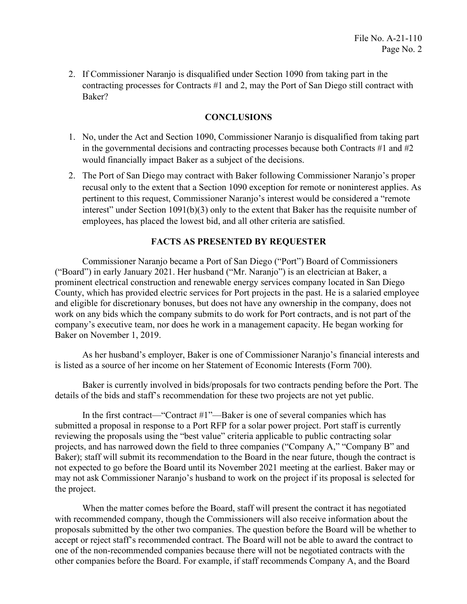2. If Commissioner Naranjo is disqualified under Section 1090 from taking part in the contracting processes for Contracts #1 and 2, may the Port of San Diego still contract with Baker?

## **CONCLUSIONS**

- 1. No, under the Act and Section 1090, Commissioner Naranjo is disqualified from taking part in the governmental decisions and contracting processes because both Contracts #1 and #2 would financially impact Baker as a subject of the decisions.
- pertinent to this request, Commissioner Naranjo's interest would be considered a "remote 2. The Port of San Diego may contract with Baker following Commissioner Naranjo's proper recusal only to the extent that a Section 1090 exception for remote or noninterest applies. As interest" under Section 1091(b)(3) only to the extent that Baker has the requisite number of employees, has placed the lowest bid, and all other criteria are satisfied.

### **FACTS AS PRESENTED BY REQUESTER**

Commissioner Naranjo became a Port of San Diego ("Port") Board of Commissioners ("Board") in early January 2021. Her husband ("Mr. Naranjo") is an electrician at Baker, a prominent electrical construction and renewable energy services company located in San Diego County, which has provided electric services for Port projects in the past. He is a salaried employee and eligible for discretionary bonuses, but does not have any ownership in the company, does not work on any bids which the company submits to do work for Port contracts, and is not part of the company's executive team, nor does he work in a management capacity. He began working for Baker on November 1, 2019.

As her husband's employer, Baker is one of Commissioner Naranjo's financial interests and is listed as a source of her income on her Statement of Economic Interests (Form 700).

Baker is currently involved in bids/proposals for two contracts pending before the Port. The details of the bids and staff's recommendation for these two projects are not yet public.

In the first contract—"Contract #1"—Baker is one of several companies which has submitted a proposal in response to a Port RFP for a solar power project. Port staff is currently reviewing the proposals using the "best value" criteria applicable to public contracting solar projects, and has narrowed down the field to three companies ("Company A," "Company B" and Baker); staff will submit its recommendation to the Board in the near future, though the contract is not expected to go before the Board until its November 2021 meeting at the earliest. Baker may or may not ask Commissioner Naranjo's husband to work on the project if its proposal is selected for the project.

When the matter comes before the Board, staff will present the contract it has negotiated with recommended company, though the Commissioners will also receive information about the proposals submitted by the other two companies. The question before the Board will be whether to accept or reject staff's recommended contract. The Board will not be able to award the contract to one of the non-recommended companies because there will not be negotiated contracts with the other companies before the Board. For example, if staff recommends Company A, and the Board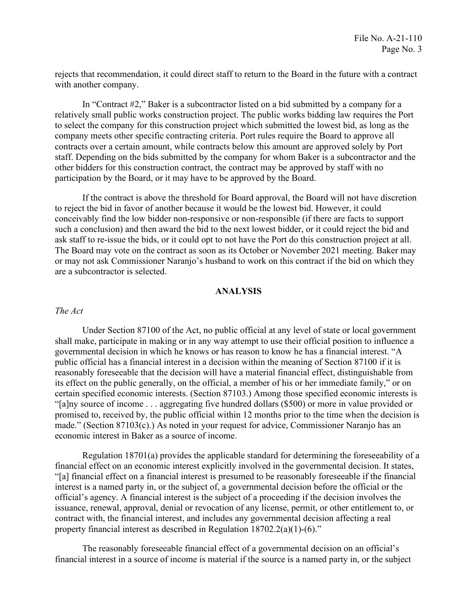rejects that recommendation, it could direct staff to return to the Board in the future with a contract with another company.

In "Contract #2," Baker is a subcontractor listed on a bid submitted by a company for a relatively small public works construction project. The public works bidding law requires the Port to select the company for this construction project which submitted the lowest bid, as long as the company meets other specific contracting criteria. Port rules require the Board to approve all contracts over a certain amount, while contracts below this amount are approved solely by Port staff. Depending on the bids submitted by the company for whom Baker is a subcontractor and the other bidders for this construction contract, the contract may be approved by staff with no participation by the Board, or it may have to be approved by the Board.

If the contract is above the threshold for Board approval, the Board will not have discretion to reject the bid in favor of another because it would be the lowest bid. However, it could conceivably find the low bidder non-responsive or non-responsible (if there are facts to support such a conclusion) and then award the bid to the next lowest bidder, or it could reject the bid and ask staff to re-issue the bids, or it could opt to not have the Port do this construction project at all. The Board may vote on the contract as soon as its October or November 2021 meeting. Baker may or may not ask Commissioner Naranjo's husband to work on this contract if the bid on which they are a subcontractor is selected.

#### **ANALYSIS**

### *The Act*

 economic interest in Baker as a source of income. Under Section 87100 of the Act, no public official at any level of state or local government shall make, participate in making or in any way attempt to use their official position to influence a governmental decision in which he knows or has reason to know he has a financial interest. "A public official has a financial interest in a decision within the meaning of Section 87100 if it is reasonably foreseeable that the decision will have a material financial effect, distinguishable from its effect on the public generally, on the official, a member of his or her immediate family," or on certain specified economic interests. (Section 87103.) Among those specified economic interests is "[a]ny source of income . . . aggregating five hundred dollars (\$500) or more in value provided or promised to, received by, the public official within 12 months prior to the time when the decision is made." (Section 87103(c).) As noted in your request for advice, Commissioner Naranjo has an

 "[a] financial effect on a financial interest is presumed to be reasonably foreseeable if the financial Regulation 18701(a) provides the applicable standard for determining the foreseeability of a financial effect on an economic interest explicitly involved in the governmental decision. It states, interest is a named party in, or the subject of, a governmental decision before the official or the official's agency. A financial interest is the subject of a proceeding if the decision involves the issuance, renewal, approval, denial or revocation of any license, permit, or other entitlement to, or contract with, the financial interest, and includes any governmental decision affecting a real property financial interest as described in Regulation 18702.2(a)(1)-(6)."

The reasonably foreseeable financial effect of a governmental decision on an official's financial interest in a source of income is material if the source is a named party in, or the subject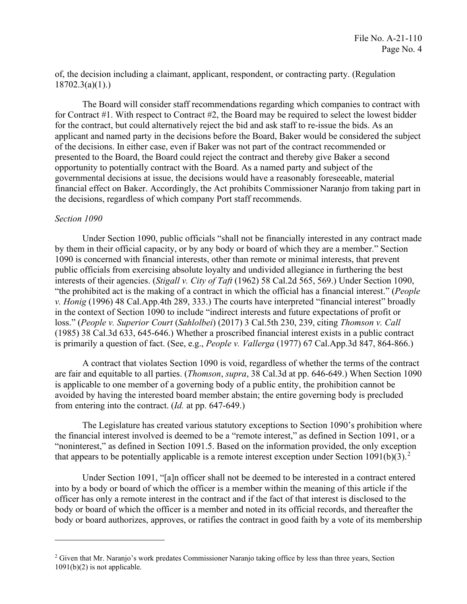of, the decision including a claimant, applicant, respondent, or contracting party. (Regulation  $18702.3(a)(1)$ .

The Board will consider staff recommendations regarding which companies to contract with for Contract #1. With respect to Contract #2, the Board may be required to select the lowest bidder for the contract, but could alternatively reject the bid and ask staff to re-issue the bids. As an applicant and named party in the decisions before the Board, Baker would be considered the subject of the decisions. In either case, even if Baker was not part of the contract recommended or presented to the Board, the Board could reject the contract and thereby give Baker a second opportunity to potentially contract with the Board. As a named party and subject of the governmental decisions at issue, the decisions would have a reasonably foreseeable, material financial effect on Baker. Accordingly, the Act prohibits Commissioner Naranjo from taking part in the decisions, regardless of which company Port staff recommends.

#### *Section 1090*

Under Section 1090, public officials "shall not be financially interested in any contract made by them in their official capacity, or by any body or board of which they are a member." Section 1090 is concerned with financial interests, other than remote or minimal interests, that prevent public officials from exercising absolute loyalty and undivided allegiance in furthering the best interests of their agencies. (*Stigall v. City of Taft* (1962) 58 Cal.2d 565, 569.) Under Section 1090, "the prohibited act is the making of a contract in which the official has a financial interest." (*People v. Honig* (1996) 48 Cal.App.4th 289, 333.) The courts have interpreted "financial interest" broadly in the context of Section 1090 to include "indirect interests and future expectations of profit or loss." (*People v. Superior Court* (*Sahlolbei*) (2017) 3 Cal.5th 230, 239, citing *Thomson v. Call*  (1985) 38 Cal.3d 633, 645-646.) Whether a proscribed financial interest exists in a public contract is primarily a question of fact. (See, e.g., *People v. Vallerga* (1977) 67 [Cal.App.3d](https://Cal.App.3d) 847, 864-866.)

A contract that violates Section 1090 is void, regardless of whether the terms of the contract are fair and equitable to all parties. (*Thomson*, *supra*, 38 Cal.3d at pp. 646-649.) When Section 1090 is applicable to one member of a governing body of a public entity, the prohibition cannot be avoided by having the interested board member abstain; the entire governing body is precluded from entering into the contract. (*Id.* at pp. 647-649.)

The Legislature has created various statutory exceptions to Section 1090's prohibition where the financial interest involved is deemed to be a "remote interest," as defined in Section 1091, or a "noninterest," as defined in Section 1091.5. Based on the information provided, the only exception that appears to be potentially applicable is a remote interest exception under Section  $1091(b)(3)$ .<sup>[2](#page-3-0)</sup>

 body or board authorizes, approves, or ratifies the contract in good faith by a vote of its membership Under Section 1091, "[a]n officer shall not be deemed to be interested in a contract entered into by a body or board of which the officer is a member within the meaning of this article if the officer has only a remote interest in the contract and if the fact of that interest is disclosed to the body or board of which the officer is a member and noted in its official records, and thereafter the

<span id="page-3-0"></span><sup>&</sup>lt;sup>2</sup> Given that Mr. Naranjo's work predates Commissioner Naranjo taking office by less than three years, Section  $1091(b)(2)$  is not applicable.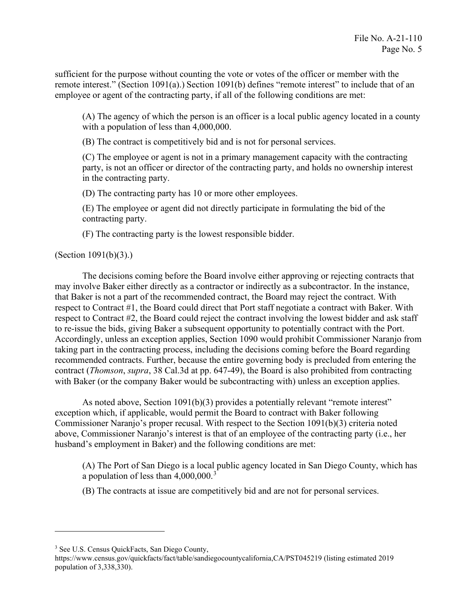sufficient for the purpose without counting the vote or votes of the officer or member with the remote interest." (Section 1091(a).) Section 1091(b) defines "remote interest" to include that of an employee or agent of the contracting party, if all of the following conditions are met:

(A) The agency of which the person is an officer is a local public agency located in a county with a population of less than 4,000,000.

(B) The contract is competitively bid and is not for personal services.

(C) The employee or agent is not in a primary management capacity with the contracting party, is not an officer or director of the contracting party, and holds no ownership interest in the contracting party.

(D) The contracting party has 10 or more other employees.

 (E) The employee or agent did not directly participate in formulating the bid of the contracting party.

(F) The contracting party is the lowest responsible bidder.

### (Section 1091(b)(3).)

 may involve Baker either directly as a contractor or indirectly as a subcontractor. In the instance, that Baker is not a part of the recommended contract, the Board may reject the contract. With respect to Contract #1, the Board could direct that Port staff negotiate a contract with Baker. With The decisions coming before the Board involve either approving or rejecting contracts that respect to Contract #2, the Board could reject the contract involving the lowest bidder and ask staff to re-issue the bids, giving Baker a subsequent opportunity to potentially contract with the Port. Accordingly, unless an exception applies, Section 1090 would prohibit Commissioner Naranjo from taking part in the contracting process, including the decisions coming before the Board regarding recommended contracts. Further, because the entire governing body is precluded from entering the contract (*Thomson*, *supra*, 38 Cal.3d at pp. 647-49), the Board is also prohibited from contracting with Baker (or the company Baker would be subcontracting with) unless an exception applies.

As noted above, Section 1091(b)(3) provides a potentially relevant "remote interest" exception which, if applicable, would permit the Board to contract with Baker following Commissioner Naranjo's proper recusal. With respect to the Section 1091(b)(3) criteria noted above, Commissioner Naranjo's interest is that of an employee of the contracting party (i.e., her husband's employment in Baker) and the following conditions are met:

(A) The Port of San Diego is a local public agency located in San Diego County, which has a population of less than  $4,000,000$ .<sup>3</sup>

(B) The contracts at issue are competitively bid and are not for personal services.

<span id="page-4-0"></span><sup>&</sup>lt;sup>3</sup> See U.S. Census QuickFacts, San Diego County,

<https://www.census.gov/quickfacts/fact/table/sandiegocountycalifornia,CA/PST045219> (listing estimated 2019 population of 3,338,330).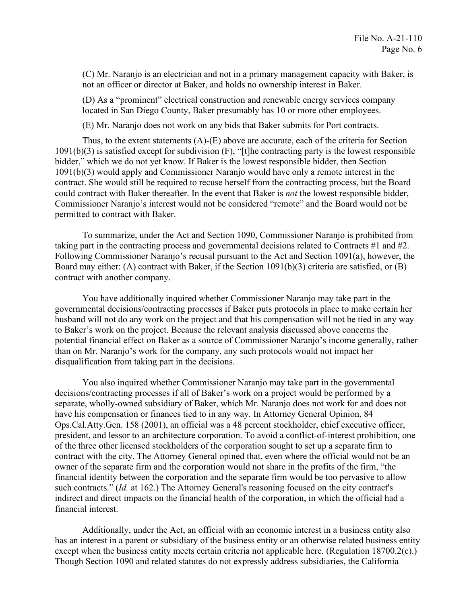(C) Mr. Naranjo is an electrician and not in a primary management capacity with Baker, is not an officer or director at Baker, and holds no ownership interest in Baker.

(D) As a "prominent" electrical construction and renewable energy services company located in San Diego County, Baker presumably has 10 or more other employees.

(E) Mr. Naranjo does not work on any bids that Baker submits for Port contracts.

 Thus, to the extent statements (A)-(E) above are accurate, each of the criteria for Section contract. She would still be required to recuse herself from the contracting process, but the Board Commissioner Naranjo's interest would not be considered "remote" and the Board would not be 1091(b)(3) is satisfied except for subdivision (F), "[t]he contracting party is the lowest responsible bidder," which we do not yet know. If Baker is the lowest responsible bidder, then Section 1091(b)(3) would apply and Commissioner Naranjo would have only a remote interest in the could contract with Baker thereafter. In the event that Baker is *not* the lowest responsible bidder, permitted to contract with Baker.

 Board may either: (A) contract with Baker, if the Section 1091(b)(3) criteria are satisfied, or (B) To summarize, under the Act and Section 1090, Commissioner Naranjo is prohibited from taking part in the contracting process and governmental decisions related to Contracts #1 and #2. Following Commissioner Naranjo's recusal pursuant to the Act and Section 1091(a), however, the contract with another company.

 governmental decisions/contracting processes if Baker puts protocols in place to make certain her to Baker's work on the project. Because the relevant analysis discussed above concerns the You have additionally inquired whether Commissioner Naranjo may take part in the husband will not do any work on the project and that his compensation will not be tied in any way potential financial effect on Baker as a source of Commissioner Naranjo's income generally, rather than on Mr. Naranjo's work for the company, any such protocols would not impact her disqualification from taking part in the decisions.

You also inquired whether Commissioner Naranjo may take part in the governmental decisions/contracting processes if all of Baker's work on a project would be performed by a separate, wholly-owned subsidiary of Baker, which Mr. Naranjo does not work for and does not have his compensation or finances tied to in any way. In Attorney General Opinion, 84 Ops.Cal.Atty.Gen. 158 (2001), an official was a 48 percent stockholder, chief executive officer, president, and lessor to an architecture corporation. To avoid a conflict-of-interest prohibition, one of the three other licensed stockholders of the corporation sought to set up a separate firm to contract with the city. The Attorney General opined that, even where the official would not be an owner of the separate firm and the corporation would not share in the profits of the firm, "the financial identity between the corporation and the separate firm would be too pervasive to allow such contracts." (*Id.* at 162.) The Attorney General's reasoning focused on the city contract's indirect and direct impacts on the financial health of the corporation, in which the official had a financial interest.

Additionally, under the Act, an official with an economic interest in a business entity also has an interest in a parent or subsidiary of the business entity or an otherwise related business entity except when the business entity meets certain criteria not applicable here. (Regulation 18700.2(c).) Though Section 1090 and related statutes do not expressly address subsidiaries, the California